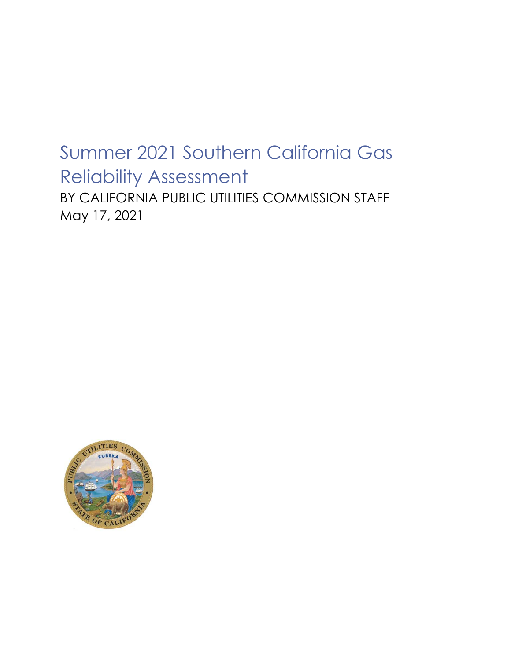# Summer 2021 Southern California Gas Reliability Assessment

BY CALIFORNIA PUBLIC UTILITIES COMMISSION STAFF May 17, 2021

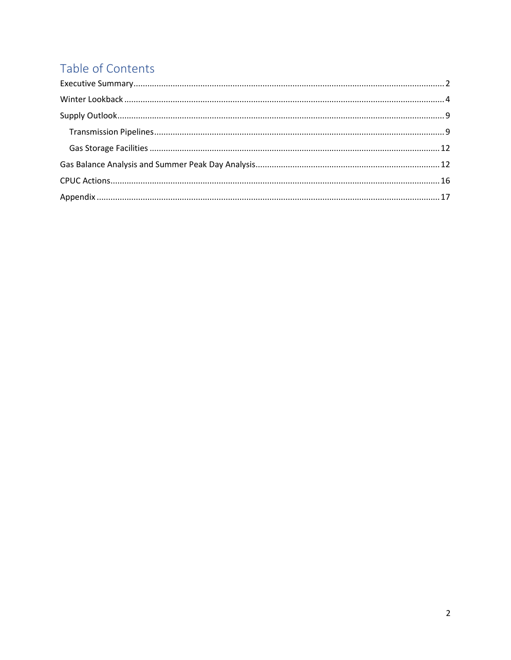# Table of Contents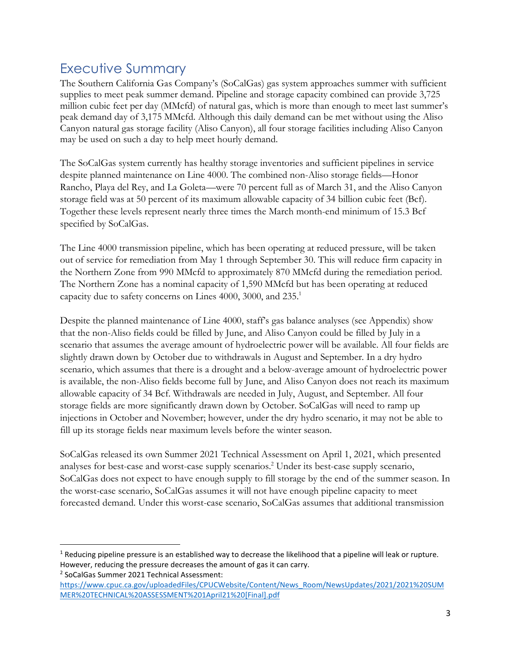## Executive Summary

The Southern California Gas Company's (SoCalGas) gas system approaches summer with sufficient supplies to meet peak summer demand. Pipeline and storage capacity combined can provide 3,725 million cubic feet per day (MMcfd) of natural gas, which is more than enough to meet last summer's peak demand day of 3,175 MMcfd. Although this daily demand can be met without using the Aliso Canyon natural gas storage facility (Aliso Canyon), all four storage facilities including Aliso Canyon may be used on such a day to help meet hourly demand.

The SoCalGas system currently has healthy storage inventories and sufficient pipelines in service despite planned maintenance on Line 4000. The combined non-Aliso storage fields—Honor Rancho, Playa del Rey, and La Goleta—were 70 percent full as of March 31, and the Aliso Canyon storage field was at 50 percent of its maximum allowable capacity of 34 billion cubic feet (Bcf). Together these levels represent nearly three times the March month-end minimum of 15.3 Bcf specified by SoCalGas.

The Line 4000 transmission pipeline, which has been operating at reduced pressure, will be taken out of service for remediation from May 1 through September 30. This will reduce firm capacity in the Northern Zone from 990 MMcfd to approximately 870 MMcfd during the remediation period. The Northern Zone has a nominal capacity of 1,590 MMcfd but has been operating at reduced capacity due to safety concerns on Lines 4000, 3000, and 235.<sup>1</sup>

Despite the planned maintenance of Line 4000, staff's gas balance analyses (see Appendix) show that the non-Aliso fields could be filled by June, and Aliso Canyon could be filled by July in a scenario that assumes the average amount of hydroelectric power will be available. All four fields are slightly drawn down by October due to withdrawals in August and September. In a dry hydro scenario, which assumes that there is a drought and a below-average amount of hydroelectric power is available, the non-Aliso fields become full by June, and Aliso Canyon does not reach its maximum allowable capacity of 34 Bcf. Withdrawals are needed in July, August, and September. All four storage fields are more significantly drawn down by October. SoCalGas will need to ramp up injections in October and November; however, under the dry hydro scenario, it may not be able to fill up its storage fields near maximum levels before the winter season.

SoCalGas released its own Summer 2021 Technical Assessment on April 1, 2021, which presented analyses for best-case and worst-case supply scenarios.<sup>2</sup> Under its best-case supply scenario, SoCalGas does not expect to have enough supply to fill storage by the end of the summer season. In the worst-case scenario, SoCalGas assumes it will not have enough pipeline capacity to meet forecasted demand. Under this worst-case scenario, SoCalGas assumes that additional transmission

2 SoCalGas Summer 2021 Technical Assessment:

 $1$  Reducing pipeline pressure is an established way to decrease the likelihood that a pipeline will leak or rupture. However, reducing the pressure decreases the amount of gas it can carry.

https://www.cpuc.ca.gov/uploadedFiles/CPUCWebsite/Content/News\_Room/NewsUpdates/2021/2021%20SUM MER%20TECHNICAL%20ASSESSMENT%201April21%20[Final].pdf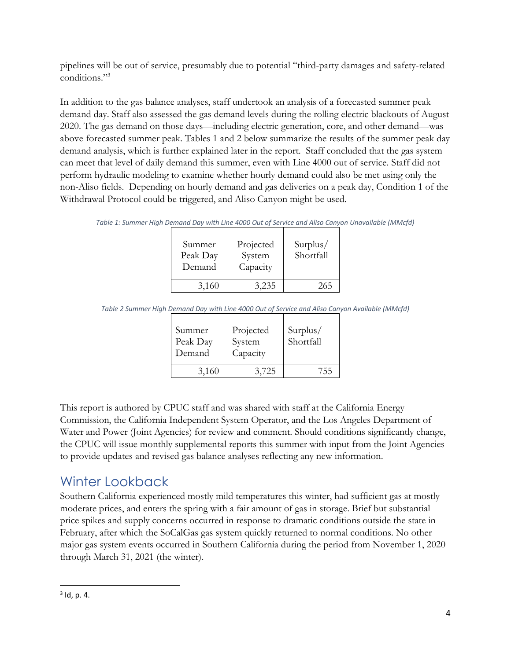pipelines will be out of service, presumably due to potential "third-party damages and safety-related conditions."<sup>3</sup>

In addition to the gas balance analyses, staff undertook an analysis of a forecasted summer peak demand day. Staff also assessed the gas demand levels during the rolling electric blackouts of August 2020. The gas demand on those days—including electric generation, core, and other demand—was above forecasted summer peak. Tables 1 and 2 below summarize the results of the summer peak day demand analysis, which is further explained later in the report. Staff concluded that the gas system can meet that level of daily demand this summer, even with Line 4000 out of service. Staff did not perform hydraulic modeling to examine whether hourly demand could also be met using only the non-Aliso fields. Depending on hourly demand and gas deliveries on a peak day, Condition 1 of the Withdrawal Protocol could be triggered, and Aliso Canyon might be used.

*Table 1: Summer High Demand Day with Line 4000 Out of Service and Aliso Canyon Unavailable (MMcfd)*

| Summer<br>Peak Day<br>Demand | Projected<br>System<br>Capacity | Surplus/<br>Shortfall |
|------------------------------|---------------------------------|-----------------------|
| 3,160                        | 3,235                           | 265                   |

*Table 2 Summer High Demand Day with Line 4000 Out of Service and Aliso Canyon Available (MMcfd)*

| Summer<br>Peak Day<br>Demand | Projected<br>System<br>Capacity | Surplus/<br>Shortfall |
|------------------------------|---------------------------------|-----------------------|
| 3,160                        | 3,725                           | 755                   |

This report is authored by CPUC staff and was shared with staff at the California Energy Commission, the California Independent System Operator, and the Los Angeles Department of Water and Power (Joint Agencies) for review and comment. Should conditions significantly change, the CPUC will issue monthly supplemental reports this summer with input from the Joint Agencies to provide updates and revised gas balance analyses reflecting any new information.

# Winter Lookback

Southern California experienced mostly mild temperatures this winter, had sufficient gas at mostly moderate prices, and enters the spring with a fair amount of gas in storage. Brief but substantial price spikes and supply concerns occurred in response to dramatic conditions outside the state in February, after which the SoCalGas gas system quickly returned to normal conditions. No other major gas system events occurred in Southern California during the period from November 1, 2020 through March 31, 2021 (the winter).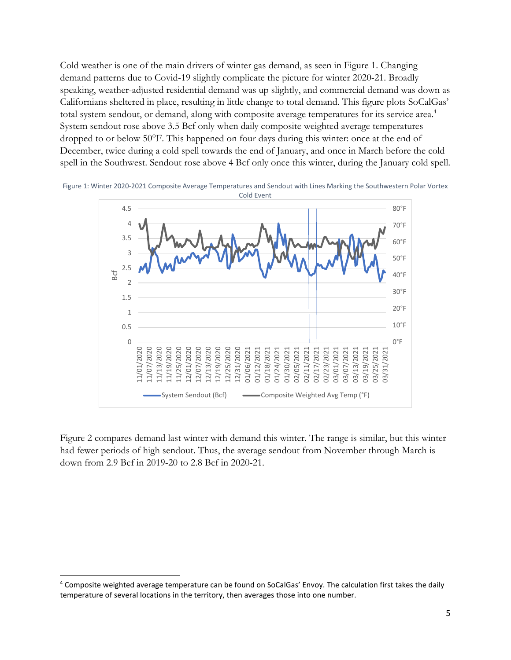Cold weather is one of the main drivers of winter gas demand, as seen in Figure 1. Changing demand patterns due to Covid-19 slightly complicate the picture for winter 2020-21. Broadly speaking, weather-adjusted residential demand was up slightly, and commercial demand was down as Californians sheltered in place, resulting in little change to total demand. This figure plots SoCalGas' total system sendout, or demand, along with composite average temperatures for its service area.<sup>4</sup> System sendout rose above 3.5 Bcf only when daily composite weighted average temperatures dropped to or below 50°F. This happened on four days during this winter: once at the end of December, twice during a cold spell towards the end of January, and once in March before the cold spell in the Southwest. Sendout rose above 4 Bcf only once this winter, during the January cold spell.



Figure 1: Winter 2020-2021 Composite Average Temperatures and Sendout with Lines Marking the Southwestern Polar Vortex

Figure 2 compares demand last winter with demand this winter. The range is similar, but this winter had fewer periods of high sendout. Thus, the average sendout from November through March is down from 2.9 Bcf in 2019-20 to 2.8 Bcf in 2020-21.

<sup>4</sup> Composite weighted average temperature can be found on SoCalGas' Envoy. The calculation first takes the daily temperature of several locations in the territory, then averages those into one number.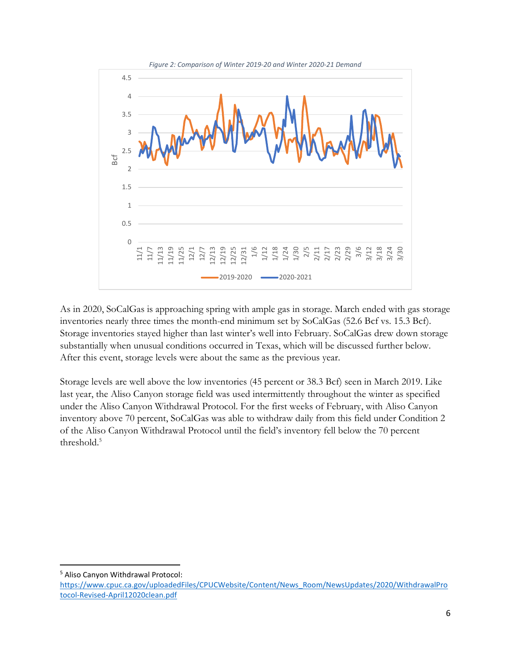

As in 2020, SoCalGas is approaching spring with ample gas in storage. March ended with gas storage inventories nearly three times the month-end minimum set by SoCalGas (52.6 Bcf vs. 15.3 Bcf). Storage inventories stayed higher than last winter's well into February. SoCalGas drew down storage substantially when unusual conditions occurred in Texas, which will be discussed further below. After this event, storage levels were about the same as the previous year.

Storage levels are well above the low inventories (45 percent or 38.3 Bcf) seen in March 2019. Like last year, the Aliso Canyon storage field was used intermittently throughout the winter as specified under the Aliso Canyon Withdrawal Protocol. For the first weeks of February, with Aliso Canyon inventory above 70 percent, SoCalGas was able to withdraw daily from this field under Condition 2 of the Aliso Canyon Withdrawal Protocol until the field's inventory fell below the 70 percent threshold.<sup>5</sup>

<sup>5</sup> Aliso Canyon Withdrawal Protocol:

https://www.cpuc.ca.gov/uploadedFiles/CPUCWebsite/Content/News\_Room/NewsUpdates/2020/WithdrawalPro tocol-Revised-April12020clean.pdf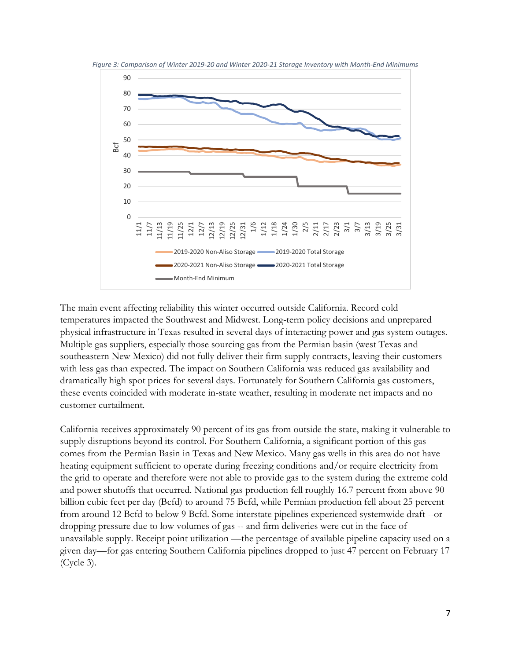

*Figure 3: Comparison of Winter 2019-20 and Winter 2020-21 Storage Inventory with Month-End Minimums* 

The main event affecting reliability this winter occurred outside California. Record cold temperatures impacted the Southwest and Midwest. Long-term policy decisions and unprepared physical infrastructure in Texas resulted in several days of interacting power and gas system outages. Multiple gas suppliers, especially those sourcing gas from the Permian basin (west Texas and southeastern New Mexico) did not fully deliver their firm supply contracts, leaving their customers with less gas than expected. The impact on Southern California was reduced gas availability and dramatically high spot prices for several days. Fortunately for Southern California gas customers, these events coincided with moderate in-state weather, resulting in moderate net impacts and no customer curtailment.

California receives approximately 90 percent of its gas from outside the state, making it vulnerable to supply disruptions beyond its control. For Southern California, a significant portion of this gas comes from the Permian Basin in Texas and New Mexico. Many gas wells in this area do not have heating equipment sufficient to operate during freezing conditions and/or require electricity from the grid to operate and therefore were not able to provide gas to the system during the extreme cold and power shutoffs that occurred. National gas production fell roughly 16.7 percent from above 90 billion cubic feet per day (Bcfd) to around 75 Bcfd, while Permian production fell about 25 percent from around 12 Bcfd to below 9 Bcfd. Some interstate pipelines experienced systemwide draft --or dropping pressure due to low volumes of gas -- and firm deliveries were cut in the face of unavailable supply. Receipt point utilization —the percentage of available pipeline capacity used on a given day—for gas entering Southern California pipelines dropped to just 47 percent on February 17 (Cycle 3).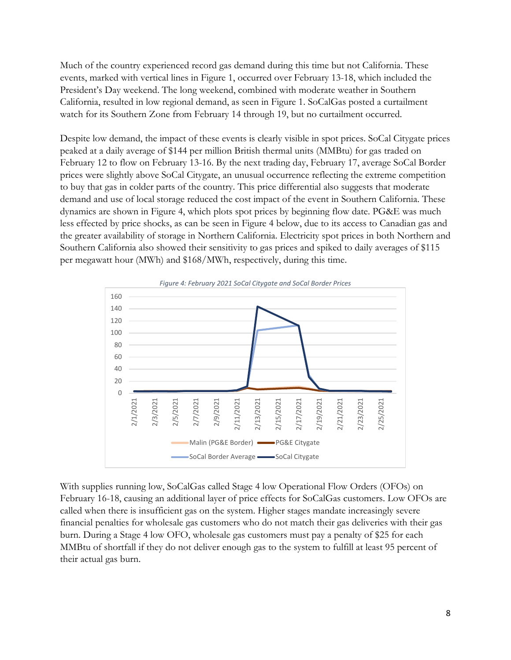Much of the country experienced record gas demand during this time but not California. These events, marked with vertical lines in Figure 1, occurred over February 13-18, which included the President's Day weekend. The long weekend, combined with moderate weather in Southern California, resulted in low regional demand, as seen in Figure 1. SoCalGas posted a curtailment watch for its Southern Zone from February 14 through 19, but no curtailment occurred.

Despite low demand, the impact of these events is clearly visible in spot prices. SoCal Citygate prices peaked at a daily average of \$144 per million British thermal units (MMBtu) for gas traded on February 12 to flow on February 13-16. By the next trading day, February 17, average SoCal Border prices were slightly above SoCal Citygate, an unusual occurrence reflecting the extreme competition to buy that gas in colder parts of the country. This price differential also suggests that moderate demand and use of local storage reduced the cost impact of the event in Southern California. These dynamics are shown in Figure 4, which plots spot prices by beginning flow date. PG&E was much less effected by price shocks, as can be seen in Figure 4 below, due to its access to Canadian gas and the greater availability of storage in Northern California. Electricity spot prices in both Northern and Southern California also showed their sensitivity to gas prices and spiked to daily averages of \$115 per megawatt hour (MWh) and \$168/MWh, respectively, during this time.



With supplies running low, SoCalGas called Stage 4 low Operational Flow Orders (OFOs) on February 16-18, causing an additional layer of price effects for SoCalGas customers. Low OFOs are called when there is insufficient gas on the system. Higher stages mandate increasingly severe financial penalties for wholesale gas customers who do not match their gas deliveries with their gas burn. During a Stage 4 low OFO, wholesale gas customers must pay a penalty of \$25 for each MMBtu of shortfall if they do not deliver enough gas to the system to fulfill at least 95 percent of their actual gas burn.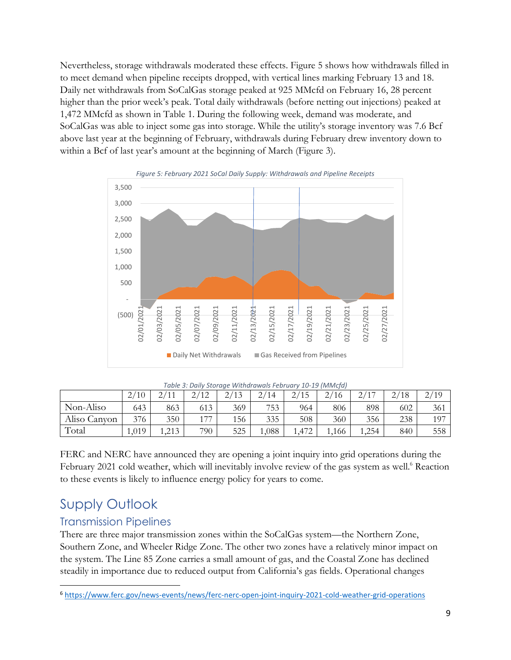Nevertheless, storage withdrawals moderated these effects. Figure 5 shows how withdrawals filled in to meet demand when pipeline receipts dropped, with vertical lines marking February 13 and 18. Daily net withdrawals from SoCalGas storage peaked at 925 MMcfd on February 16, 28 percent higher than the prior week's peak. Total daily withdrawals (before netting out injections) peaked at 1,472 MMcfd as shown in Table 1. During the following week, demand was moderate, and SoCalGas was able to inject some gas into storage. While the utility's storage inventory was 7.6 Bcf above last year at the beginning of February, withdrawals during February drew inventory down to within a Bcf of last year's amount at the beginning of March (Figure 3).



| Table 3: Daily Storage Withdrawals February 10-19 (MMcfd) |  |  |
|-----------------------------------------------------------|--|--|
|                                                           |  |  |

|              | $^{\prime}10$<br>⌒<br>∠ | ⌒<br>111<br>ر گ | 12<br>$\sim$<br>$\overline{1}$<br><u>_</u> | 2/13<br>$\leftharpoonup$ | ⌒<br>′14<br>∠ | 2/15<br>ر ت | 2/16  | (4 <sup>1</sup> )<br>⌒<br>∼ | /18<br>⌒<br>∼. | $\gamma$ /<br>$^{\prime}19$<br>$\angle$ |
|--------------|-------------------------|-----------------|--------------------------------------------|--------------------------|---------------|-------------|-------|-----------------------------|----------------|-----------------------------------------|
| Non-Aliso    | 643                     | 863             | 613                                        | 369                      | 753           | 964         | 806   | 898                         | 602            | 361                                     |
| Aliso Canyon | 376                     | 350             | 177                                        | 156                      | 335           | 508         | 360   | 356                         | 238            | 197                                     |
| Total        | ,019                    | 212<br>ر دیے.   | 790                                        | 525                      | ,088          | $.47^\circ$ | 1,166 | ,254                        | 840            | 558                                     |

FERC and NERC have announced they are opening a joint inquiry into grid operations during the February 2021 cold weather, which will inevitably involve review of the gas system as well.<sup>6</sup> Reaction to these events is likely to influence energy policy for years to come.

### Supply Outlook

#### Transmission Pipelines

There are three major transmission zones within the SoCalGas system—the Northern Zone, Southern Zone, and Wheeler Ridge Zone. The other two zones have a relatively minor impact on the system. The Line 85 Zone carries a small amount of gas, and the Coastal Zone has declined steadily in importance due to reduced output from California's gas fields. Operational changes

<sup>6</sup> https://www.ferc.gov/news-events/news/ferc-nerc-open-joint-inquiry-2021-cold-weather-grid-operations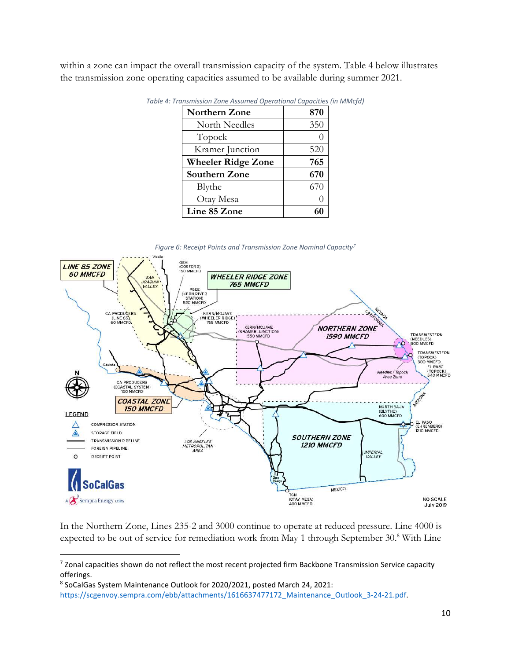within a zone can impact the overall transmission capacity of the system. Table 4 below illustrates the transmission zone operating capacities assumed to be available during summer 2021.

| <b>Northern Zone</b>      | 870 |
|---------------------------|-----|
| North Needles             | 350 |
| Topock                    |     |
| Kramer Junction           | 520 |
| <b>Wheeler Ridge Zone</b> | 765 |
| Southern Zone             | 670 |
| Blythe                    | 670 |
| Otay Mesa                 |     |
| Line 85 Zone              |     |

*Table 4: Transmission Zone Assumed Operational Capacities (in MMcfd)* 



In the Northern Zone, Lines 235-2 and 3000 continue to operate at reduced pressure. Line 4000 is expected to be out of service for remediation work from May 1 through September 30.8 With Line

<sup>&</sup>lt;sup>7</sup> Zonal capacities shown do not reflect the most recent projected firm Backbone Transmission Service capacity offerings.

<sup>8</sup> SoCalGas System Maintenance Outlook for 2020/2021, posted March 24, 2021: https://scgenvoy.sempra.com/ebb/attachments/1616637477172\_Maintenance\_Outlook\_3-24-21.pdf.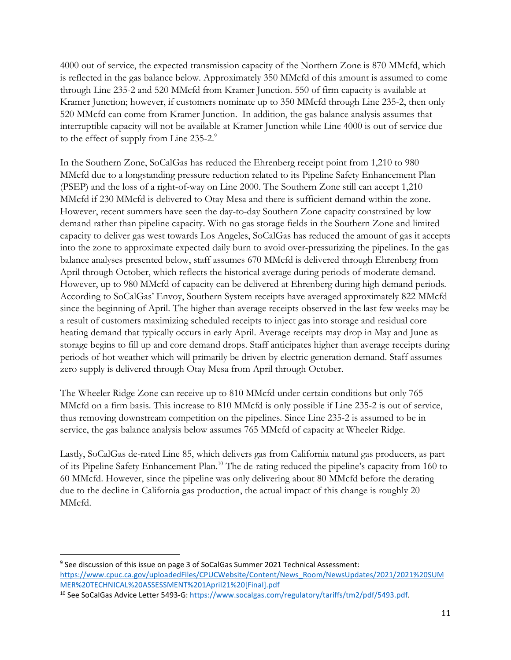4000 out of service, the expected transmission capacity of the Northern Zone is 870 MMcfd, which is reflected in the gas balance below. Approximately 350 MMcfd of this amount is assumed to come through Line 235-2 and 520 MMcfd from Kramer Junction. 550 of firm capacity is available at Kramer Junction; however, if customers nominate up to 350 MMcfd through Line 235-2, then only 520 MMcfd can come from Kramer Junction. In addition, the gas balance analysis assumes that interruptible capacity will not be available at Kramer Junction while Line 4000 is out of service due to the effect of supply from Line 235-2.<sup>9</sup>

In the Southern Zone, SoCalGas has reduced the Ehrenberg receipt point from 1,210 to 980 MMcfd due to a longstanding pressure reduction related to its Pipeline Safety Enhancement Plan (PSEP) and the loss of a right-of-way on Line 2000. The Southern Zone still can accept 1,210 MMcfd if 230 MMcfd is delivered to Otay Mesa and there is sufficient demand within the zone. However, recent summers have seen the day-to-day Southern Zone capacity constrained by low demand rather than pipeline capacity. With no gas storage fields in the Southern Zone and limited capacity to deliver gas west towards Los Angeles, SoCalGas has reduced the amount of gas it accepts into the zone to approximate expected daily burn to avoid over-pressurizing the pipelines. In the gas balance analyses presented below, staff assumes 670 MMcfd is delivered through Ehrenberg from April through October, which reflects the historical average during periods of moderate demand. However, up to 980 MMcfd of capacity can be delivered at Ehrenberg during high demand periods. According to SoCalGas' Envoy, Southern System receipts have averaged approximately 822 MMcfd since the beginning of April. The higher than average receipts observed in the last few weeks may be a result of customers maximizing scheduled receipts to inject gas into storage and residual core heating demand that typically occurs in early April. Average receipts may drop in May and June as storage begins to fill up and core demand drops. Staff anticipates higher than average receipts during periods of hot weather which will primarily be driven by electric generation demand. Staff assumes zero supply is delivered through Otay Mesa from April through October.

The Wheeler Ridge Zone can receive up to 810 MMcfd under certain conditions but only 765 MMcfd on a firm basis. This increase to 810 MMcfd is only possible if Line 235-2 is out of service, thus removing downstream competition on the pipelines. Since Line 235-2 is assumed to be in service, the gas balance analysis below assumes 765 MMcfd of capacity at Wheeler Ridge.

Lastly, SoCalGas de-rated Line 85, which delivers gas from California natural gas producers, as part of its Pipeline Safety Enhancement Plan.<sup>10</sup> The de-rating reduced the pipeline's capacity from 160 to 60 MMcfd. However, since the pipeline was only delivering about 80 MMcfd before the derating due to the decline in California gas production, the actual impact of this change is roughly 20 MMcfd.

<sup>&</sup>lt;sup>9</sup> See discussion of this issue on page 3 of SoCalGas Summer 2021 Technical Assessment: https://www.cpuc.ca.gov/uploadedFiles/CPUCWebsite/Content/News\_Room/NewsUpdates/2021/2021%20SUM MER%20TECHNICAL%20ASSESSMENT%201April21%20[Final].pdf

<sup>10</sup> See SoCalGas Advice Letter 5493-G: https://www.socalgas.com/regulatory/tariffs/tm2/pdf/5493.pdf.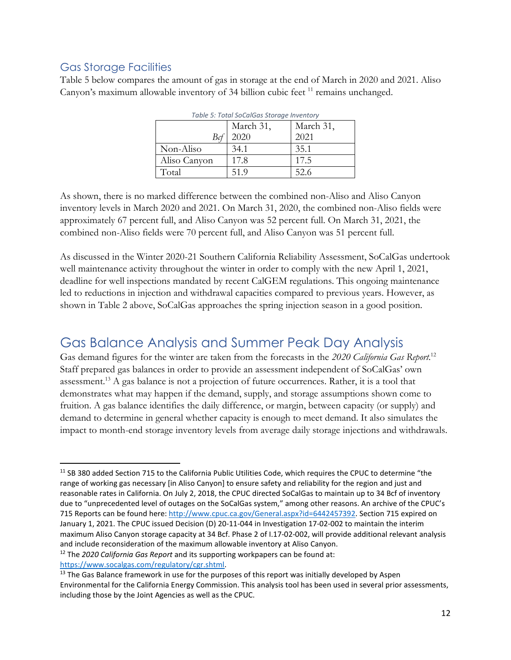#### Gas Storage Facilities

Table 5 below compares the amount of gas in storage at the end of March in 2020 and 2021. Aliso Canyon's maximum allowable inventory of 34 billion cubic feet <sup>11</sup> remains unchanged.

| Table 5: Total SocalGas Storage Inventory |           |           |  |  |  |  |
|-------------------------------------------|-----------|-----------|--|--|--|--|
|                                           | March 31, | March 31, |  |  |  |  |
| Bcf                                       | 2020      | 2021      |  |  |  |  |
| Non-Aliso                                 | 34.1      | 35.1      |  |  |  |  |
| Aliso Canyon                              | 17.8      | 17.5      |  |  |  |  |
| Total                                     | 51.9      | 52.6      |  |  |  |  |

*Table 5: Total SoCalGas Storage Inventory* 

As shown, there is no marked difference between the combined non-Aliso and Aliso Canyon inventory levels in March 2020 and 2021. On March 31, 2020, the combined non-Aliso fields were approximately 67 percent full, and Aliso Canyon was 52 percent full. On March 31, 2021, the combined non-Aliso fields were 70 percent full, and Aliso Canyon was 51 percent full.

As discussed in the Winter 2020-21 Southern California Reliability Assessment, SoCalGas undertook well maintenance activity throughout the winter in order to comply with the new April 1, 2021, deadline for well inspections mandated by recent CalGEM regulations. This ongoing maintenance led to reductions in injection and withdrawal capacities compared to previous years. However, as shown in Table 2 above, SoCalGas approaches the spring injection season in a good position.

### Gas Balance Analysis and Summer Peak Day Analysis

Gas demand figures for the winter are taken from the forecasts in the *2020 California Gas Report*. 12 Staff prepared gas balances in order to provide an assessment independent of SoCalGas' own assessment.<sup>13</sup> A gas balance is not a projection of future occurrences. Rather, it is a tool that demonstrates what may happen if the demand, supply, and storage assumptions shown come to fruition. A gas balance identifies the daily difference, or margin, between capacity (or supply) and demand to determine in general whether capacity is enough to meet demand. It also simulates the impact to month-end storage inventory levels from average daily storage injections and withdrawals.

<sup>12</sup> The *2020 California Gas Report* and its supporting workpapers can be found at: https://www.socalgas.com/regulatory/cgr.shtml.

<sup>&</sup>lt;sup>11</sup> SB 380 added Section 715 to the California Public Utilities Code, which requires the CPUC to determine "the range of working gas necessary [in Aliso Canyon] to ensure safety and reliability for the region and just and reasonable rates in California. On July 2, 2018, the CPUC directed SoCalGas to maintain up to 34 Bcf of inventory due to "unprecedented level of outages on the SoCalGas system," among other reasons. An archive of the CPUC's 715 Reports can be found here: http://www.cpuc.ca.gov/General.aspx?id=6442457392. Section 715 expired on January 1, 2021. The CPUC issued Decision (D) 20-11-044 in Investigation 17-02-002 to maintain the interim maximum Aliso Canyon storage capacity at 34 Bcf. Phase 2 of I.17-02-002, will provide additional relevant analysis and include reconsideration of the maximum allowable inventory at Aliso Canyon.

<sup>&</sup>lt;sup>13</sup> The Gas Balance framework in use for the purposes of this report was initially developed by Aspen Environmental for the California Energy Commission. This analysis tool has been used in several prior assessments, including those by the Joint Agencies as well as the CPUC.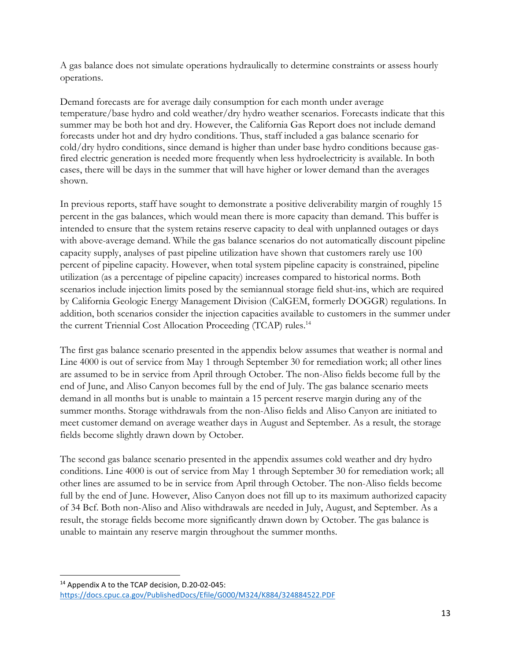A gas balance does not simulate operations hydraulically to determine constraints or assess hourly operations.

Demand forecasts are for average daily consumption for each month under average temperature/base hydro and cold weather/dry hydro weather scenarios. Forecasts indicate that this summer may be both hot and dry. However, the California Gas Report does not include demand forecasts under hot and dry hydro conditions. Thus, staff included a gas balance scenario for cold/dry hydro conditions, since demand is higher than under base hydro conditions because gasfired electric generation is needed more frequently when less hydroelectricity is available. In both cases, there will be days in the summer that will have higher or lower demand than the averages shown.

In previous reports, staff have sought to demonstrate a positive deliverability margin of roughly 15 percent in the gas balances, which would mean there is more capacity than demand. This buffer is intended to ensure that the system retains reserve capacity to deal with unplanned outages or days with above-average demand. While the gas balance scenarios do not automatically discount pipeline capacity supply, analyses of past pipeline utilization have shown that customers rarely use 100 percent of pipeline capacity. However, when total system pipeline capacity is constrained, pipeline utilization (as a percentage of pipeline capacity) increases compared to historical norms. Both scenarios include injection limits posed by the semiannual storage field shut-ins, which are required by California Geologic Energy Management Division (CalGEM, formerly DOGGR) regulations. In addition, both scenarios consider the injection capacities available to customers in the summer under the current Triennial Cost Allocation Proceeding (TCAP) rules.<sup>14</sup>

The first gas balance scenario presented in the appendix below assumes that weather is normal and Line 4000 is out of service from May 1 through September 30 for remediation work; all other lines are assumed to be in service from April through October. The non-Aliso fields become full by the end of June, and Aliso Canyon becomes full by the end of July. The gas balance scenario meets demand in all months but is unable to maintain a 15 percent reserve margin during any of the summer months. Storage withdrawals from the non-Aliso fields and Aliso Canyon are initiated to meet customer demand on average weather days in August and September. As a result, the storage fields become slightly drawn down by October.

The second gas balance scenario presented in the appendix assumes cold weather and dry hydro conditions. Line 4000 is out of service from May 1 through September 30 for remediation work; all other lines are assumed to be in service from April through October. The non-Aliso fields become full by the end of June. However, Aliso Canyon does not fill up to its maximum authorized capacity of 34 Bcf. Both non-Aliso and Aliso withdrawals are needed in July, August, and September. As a result, the storage fields become more significantly drawn down by October. The gas balance is unable to maintain any reserve margin throughout the summer months.

<sup>14</sup> Appendix A to the TCAP decision, D.20-02-045: https://docs.cpuc.ca.gov/PublishedDocs/Efile/G000/M324/K884/324884522.PDF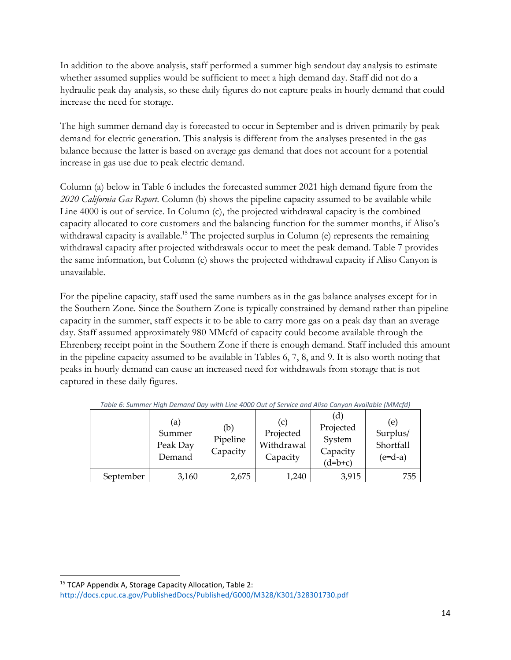In addition to the above analysis, staff performed a summer high sendout day analysis to estimate whether assumed supplies would be sufficient to meet a high demand day. Staff did not do a hydraulic peak day analysis, so these daily figures do not capture peaks in hourly demand that could increase the need for storage.

The high summer demand day is forecasted to occur in September and is driven primarily by peak demand for electric generation. This analysis is different from the analyses presented in the gas balance because the latter is based on average gas demand that does not account for a potential increase in gas use due to peak electric demand.

Column (a) below in Table 6 includes the forecasted summer 2021 high demand figure from the *2020 California Gas Report*. Column (b) shows the pipeline capacity assumed to be available while Line 4000 is out of service. In Column (c), the projected withdrawal capacity is the combined capacity allocated to core customers and the balancing function for the summer months, if Aliso's withdrawal capacity is available.<sup>15</sup> The projected surplus in Column (e) represents the remaining withdrawal capacity after projected withdrawals occur to meet the peak demand. Table 7 provides the same information, but Column (c) shows the projected withdrawal capacity if Aliso Canyon is unavailable.

For the pipeline capacity, staff used the same numbers as in the gas balance analyses except for in the Southern Zone. Since the Southern Zone is typically constrained by demand rather than pipeline capacity in the summer, staff expects it to be able to carry more gas on a peak day than an average day. Staff assumed approximately 980 MMcfd of capacity could become available through the Ehrenberg receipt point in the Southern Zone if there is enough demand. Staff included this amount in the pipeline capacity assumed to be available in Tables 6, 7, 8, and 9. It is also worth noting that peaks in hourly demand can cause an increased need for withdrawals from storage that is not captured in these daily figures.

|           | (a)<br>Summer<br>Peak Day<br>Demand | (b)<br>Pipeline<br>Capacity | (C)<br>Projected<br>Withdrawal<br>Capacity | (d)<br>Projected<br>System<br>Capacity<br>$(d=b+c)$ | (e)<br>Surplus/<br>Shortfall<br>$(e=d-a)$ |
|-----------|-------------------------------------|-----------------------------|--------------------------------------------|-----------------------------------------------------|-------------------------------------------|
| September | 3,160                               | 2,675                       | 1,240                                      | 3,915                                               | 755                                       |

*Table 6: Summer High Demand Day with Line 4000 Out of Service and Aliso Canyon Available (MMcfd)* 

<sup>15</sup> TCAP Appendix A, Storage Capacity Allocation, Table 2: http://docs.cpuc.ca.gov/PublishedDocs/Published/G000/M328/K301/328301730.pdf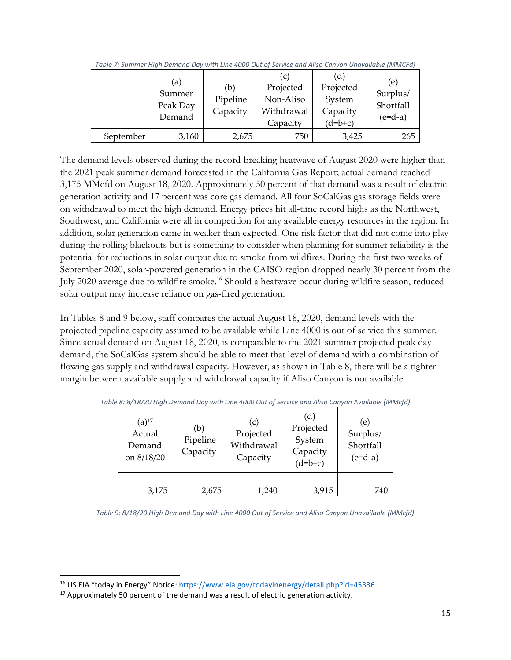|           | (a)<br>Summer<br>Peak Day<br>Demand | (b)<br>Pipeline<br>Capacity | (c)<br>Projected<br>Non-Aliso<br>Withdrawal<br>Capacity | (d)<br>Projected<br>System<br>Capacity<br>$(d=b+c)$ | (e)<br>Surplus/<br>Shortfall<br>$(e=d-a)$ |
|-----------|-------------------------------------|-----------------------------|---------------------------------------------------------|-----------------------------------------------------|-------------------------------------------|
| September | 3,160                               | 2,675                       | 750                                                     | 3,425                                               | 265                                       |

*Table 7: Summer High Demand Day with Line 4000 Out of Service and Aliso Canyon Unavailable (MMCFd)* 

The demand levels observed during the record-breaking heatwave of August 2020 were higher than the 2021 peak summer demand forecasted in the California Gas Report; actual demand reached 3,175 MMcfd on August 18, 2020. Approximately 50 percent of that demand was a result of electric generation activity and 17 percent was core gas demand. All four SoCalGas gas storage fields were on withdrawal to meet the high demand. Energy prices hit all-time record highs as the Northwest, Southwest, and California were all in competition for any available energy resources in the region. In addition, solar generation came in weaker than expected. One risk factor that did not come into play during the rolling blackouts but is something to consider when planning for summer reliability is the potential for reductions in solar output due to smoke from wildfires. During the first two weeks of September 2020, solar-powered generation in the CAISO region dropped nearly 30 percent from the July 2020 average due to wildfire smoke.<sup>16</sup> Should a heatwave occur during wildfire season, reduced solar output may increase reliance on gas-fired generation.

In Tables 8 and 9 below, staff compares the actual August 18, 2020, demand levels with the projected pipeline capacity assumed to be available while Line 4000 is out of service this summer. Since actual demand on August 18, 2020, is comparable to the 2021 summer projected peak day demand, the SoCalGas system should be able to meet that level of demand with a combination of flowing gas supply and withdrawal capacity. However, as shown in Table 8, there will be a tighter margin between available supply and withdrawal capacity if Aliso Canyon is not available.

| $(a)$ <sup>17</sup><br>Actual<br>Demand<br>on 8/18/20 | (b)<br>Pipeline<br>Capacity | (c)<br>Projected<br>Withdrawal<br>Capacity | (d)<br>Projected<br>System<br>Capacity<br>$(d=b+c)$ | (e)<br>Surplus/<br>Shortfall<br>$(e=d-a)$ |
|-------------------------------------------------------|-----------------------------|--------------------------------------------|-----------------------------------------------------|-------------------------------------------|
| 3,175                                                 | 2,675                       | 1,240                                      | 3,915                                               | 740                                       |

*Table 8: 8/18/20 High Demand Day with Line 4000 Out of Service and Aliso Canyon Available (MMcfd)* 

*Table 9: 8/18/20 High Demand Day with Line 4000 Out of Service and Aliso Canyon Unavailable (MMcfd)* 

<sup>16</sup> US EIA "today in Energy" Notice: https://www.eia.gov/todayinenergy/detail.php?id=45336

 $17$  Approximately 50 percent of the demand was a result of electric generation activity.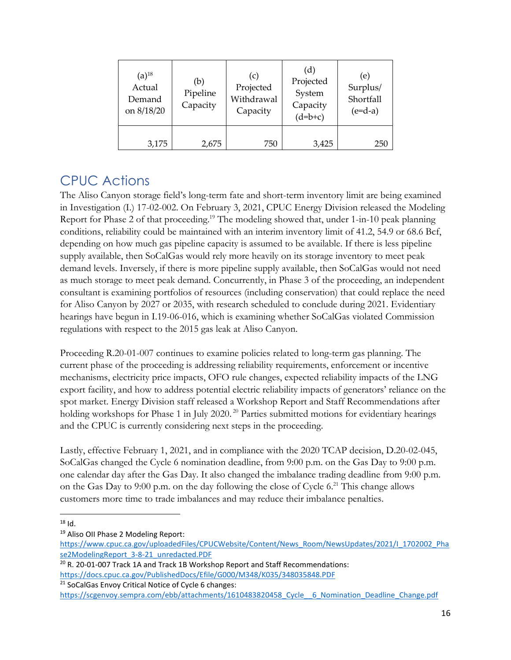| $(a)$ <sup>18</sup><br>Actual<br>Demand<br>on 8/18/20 | (b)<br>Pipeline<br>Capacity | (c)<br>Projected<br>Withdrawal<br>Capacity | (d)<br>Projected<br>System<br>Capacity<br>$(d=b+c)$ | (e)<br>Surplus/<br>Shortfall<br>$(e=d-a)$ |
|-------------------------------------------------------|-----------------------------|--------------------------------------------|-----------------------------------------------------|-------------------------------------------|
| 3,175                                                 | 2,675                       | 750                                        | 3,425                                               | 250                                       |

### CPUC Actions

The Aliso Canyon storage field's long-term fate and short-term inventory limit are being examined in Investigation (I.) 17-02-002. On February 3, 2021, CPUC Energy Division released the Modeling Report for Phase 2 of that proceeding.<sup>19</sup> The modeling showed that, under 1-in-10 peak planning conditions, reliability could be maintained with an interim inventory limit of 41.2, 54.9 or 68.6 Bcf, depending on how much gas pipeline capacity is assumed to be available. If there is less pipeline supply available, then SoCalGas would rely more heavily on its storage inventory to meet peak demand levels. Inversely, if there is more pipeline supply available, then SoCalGas would not need as much storage to meet peak demand. Concurrently, in Phase 3 of the proceeding, an independent consultant is examining portfolios of resources (including conservation) that could replace the need for Aliso Canyon by 2027 or 2035, with research scheduled to conclude during 2021. Evidentiary hearings have begun in I.19-06-016, which is examining whether SoCalGas violated Commission regulations with respect to the 2015 gas leak at Aliso Canyon.

Proceeding R.20-01-007 continues to examine policies related to long-term gas planning. The current phase of the proceeding is addressing reliability requirements, enforcement or incentive mechanisms, electricity price impacts, OFO rule changes, expected reliability impacts of the LNG export facility, and how to address potential electric reliability impacts of generators' reliance on the spot market. Energy Division staff released a Workshop Report and Staff Recommendations after holding workshops for Phase 1 in July 2020.<sup>20</sup> Parties submitted motions for evidentiary hearings and the CPUC is currently considering next steps in the proceeding.

Lastly, effective February 1, 2021, and in compliance with the 2020 TCAP decision, D.20-02-045, SoCalGas changed the Cycle 6 nomination deadline, from 9:00 p.m. on the Gas Day to 9:00 p.m. one calendar day after the Gas Day. It also changed the imbalance trading deadline from 9:00 p.m. on the Gas Day to 9:00 p.m. on the day following the close of Cycle 6.<sup>21</sup> This change allows customers more time to trade imbalances and may reduce their imbalance penalties.

<sup>21</sup> SoCalGas Envoy Critical Notice of Cycle 6 changes:

<sup>18</sup> Id.

<sup>&</sup>lt;sup>19</sup> Aliso OII Phase 2 Modeling Report:

https://www.cpuc.ca.gov/uploadedFiles/CPUCWebsite/Content/News\_Room/NewsUpdates/2021/I\_1702002\_Pha se2ModelingReport\_3-8-21\_unredacted.PDF

<sup>&</sup>lt;sup>20</sup> R. 20-01-007 Track 1A and Track 1B Workshop Report and Staff Recommendations: https://docs.cpuc.ca.gov/PublishedDocs/Efile/G000/M348/K035/348035848.PDF

https://scgenvoy.sempra.com/ebb/attachments/1610483820458 Cycle 6 Nomination Deadline Change.pdf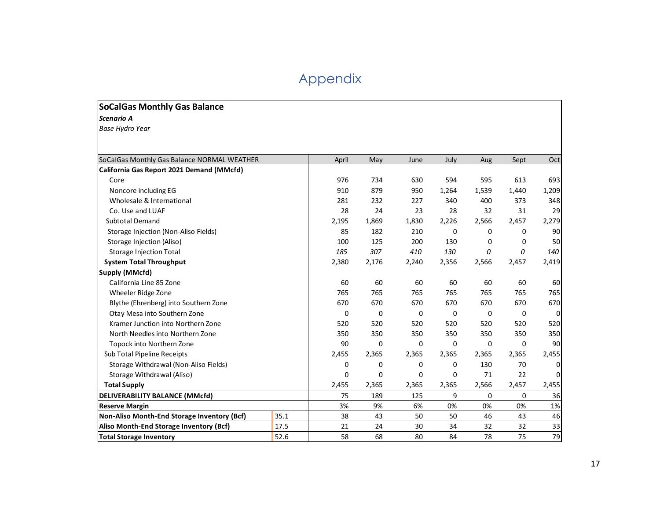# Appendix

#### **SoCalGas Monthly Gas Balance**

*Scenario A* 

*Base Hydro Year*

| SoCalGas Monthly Gas Balance NORMAL WEATHER |      | April       | May   | June  | July  | Aug   | Sept     | Oct      |
|---------------------------------------------|------|-------------|-------|-------|-------|-------|----------|----------|
| California Gas Report 2021 Demand (MMcfd)   |      |             |       |       |       |       |          |          |
| Core                                        |      | 976         | 734   | 630   | 594   | 595   | 613      | 693      |
| Noncore including EG                        |      | 910         | 879   | 950   | 1,264 | 1,539 | 1,440    | 1,209    |
| Wholesale & International                   |      | 281         | 232   | 227   | 340   | 400   | 373      | 348      |
| Co. Use and LUAF                            |      | 28          | 24    | 23    | 28    | 32    | 31       | 29       |
| <b>Subtotal Demand</b>                      |      | 2,195       | 1,869 | 1,830 | 2,226 | 2,566 | 2,457    | 2,279    |
| Storage Injection (Non-Aliso Fields)        |      | 85          | 182   | 210   | 0     | 0     | 0        | 90       |
| Storage Injection (Aliso)                   |      | 100         | 125   | 200   | 130   | 0     | 0        | 50       |
| <b>Storage Injection Total</b>              |      | 185         | 307   | 410   | 130   | 0     | 0        | 140      |
| <b>System Total Throughput</b>              |      | 2,380       | 2,176 | 2,240 | 2,356 | 2,566 | 2,457    | 2,419    |
| Supply (MMcfd)                              |      |             |       |       |       |       |          |          |
| California Line 85 Zone                     |      | 60          | 60    | 60    | 60    | 60    | 60       | 60       |
| Wheeler Ridge Zone                          |      | 765         | 765   | 765   | 765   | 765   | 765      | 765      |
| Blythe (Ehrenberg) into Southern Zone       |      | 670         | 670   | 670   | 670   | 670   | 670      | 670      |
| Otay Mesa into Southern Zone                |      | 0           | 0     | 0     | 0     | 0     | 0        | $\Omega$ |
| Kramer Junction into Northern Zone          |      | 520         | 520   | 520   | 520   | 520   | 520      | 520      |
| North Needles into Northern Zone            |      | 350         | 350   | 350   | 350   | 350   | 350      | 350      |
| Topock into Northern Zone                   |      | 90          | 0     | 0     | 0     | 0     | 0        | 90       |
| Sub Total Pipeline Receipts                 |      | 2,455       | 2,365 | 2,365 | 2,365 | 2,365 | 2,365    | 2,455    |
| Storage Withdrawal (Non-Aliso Fields)       |      | 0           | 0     | 0     | 0     | 130   | 70       | $\Omega$ |
| Storage Withdrawal (Aliso)                  |      | $\mathbf 0$ | 0     | 0     | 0     | 71    | 22       | 0        |
| <b>Total Supply</b>                         |      | 2,455       | 2,365 | 2,365 | 2,365 | 2,566 | 2,457    | 2,455    |
| <b>DELIVERABILITY BALANCE (MMcfd)</b>       |      | 75          | 189   | 125   | 9     | 0     | $\Omega$ | 36       |
| <b>Reserve Margin</b>                       |      | 3%          | 9%    | 6%    | 0%    | 0%    | 0%       | 1%       |
| Non-Aliso Month-End Storage Inventory (Bcf) | 35.1 | 38          | 43    | 50    | 50    | 46    | 43       | 46       |
| Aliso Month-End Storage Inventory (Bcf)     | 17.5 | 21          | 24    | 30    | 34    | 32    | 32       | 33       |
| <b>Total Storage Inventory</b>              | 52.6 | 58          | 68    | 80    | 84    | 78    | 75       | 79       |